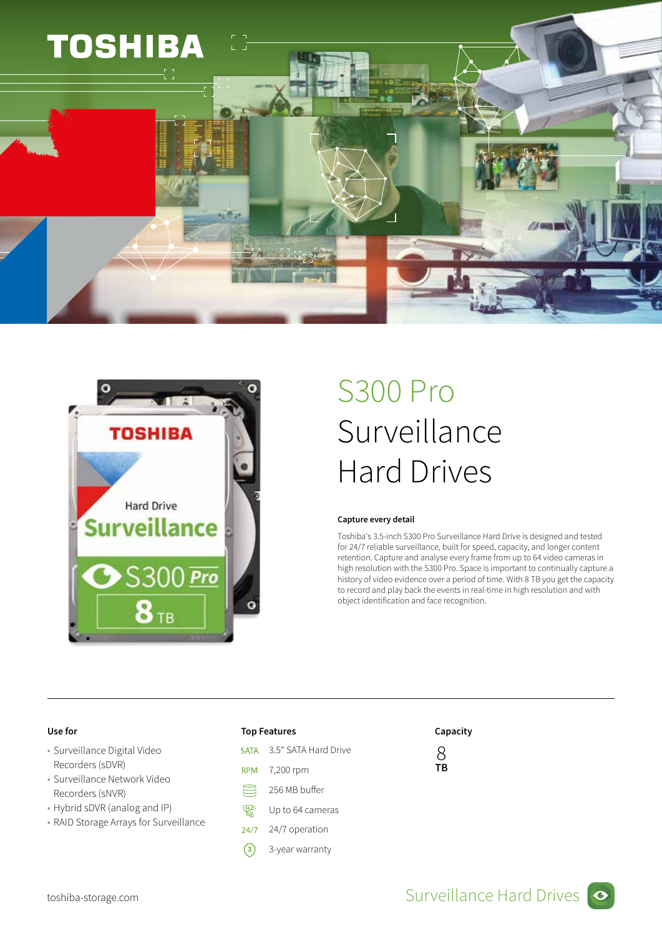



## S300 Pro Surveillance Hard Drives

### Capture every detail

Toshiba's 3.5-inch S300 Pro Surveillance Hard Drive is designed and tested for 24/7 reliable surveillance, built for speed, capacity, and longer content retention. Capture and analyse every frame from up to 64 video cameras in high resolution with the S300 Pro. Space is important to continually capture a history of video evidence over a period of time. With 8 TB you get the capacity to record and play back the events in real-time in high resolution and with object identification and face recognition.

- Surveillance Digital Video Recorders (sDVR)
- Surveillance Network Video Recorders (sNVR)
- Hybrid sDVR (analog and IP)
- RAID Storage Arrays for Surveillance

- 3.5" SATA Hard Drive **SATA**
- **RPM** 7,200 rpm
- ⊟ 256 MB buffer
- $\frac{64}{10}$ Up to 64 cameras
- $24/7$ 24/7 operation
- **3** 3-year warranty

## Use for the contraction of the Top Features and Capacity Capacity

8 TB